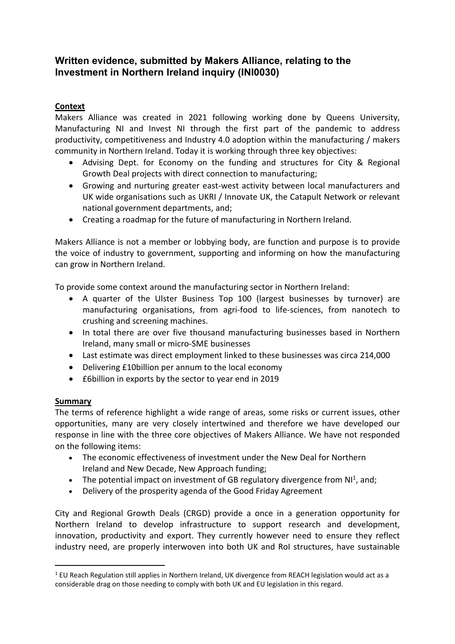# **Written evidence, submitted by Makers Alliance, relating to the Investment in Northern Ireland inquiry (INI0030)**

## **Context**

Makers Alliance was created in 2021 following working done by Queens University, Manufacturing NI and Invest NI through the first part of the pandemic to address productivity, competitiveness and Industry 4.0 adoption within the manufacturing / makers community in Northern Ireland. Today it is working through three key objectives:

- Advising Dept. for Economy on the funding and structures for City & Regional Growth Deal projects with direct connection to manufacturing;
- Growing and nurturing greater east-west activity between local manufacturers and UK wide organisations such as UKRI / Innovate UK, the Catapult Network or relevant national government departments, and;
- Creating a roadmap for the future of manufacturing in Northern Ireland.

Makers Alliance is not a member or lobbying body, are function and purpose is to provide the voice of industry to government, supporting and informing on how the manufacturing can grow in Northern Ireland.

To provide some context around the manufacturing sector in Northern Ireland:

- A quarter of the Ulster Business Top 100 (largest businesses by turnover) are manufacturing organisations, from agri-food to life-sciences, from nanotech to crushing and screening machines.
- In total there are over five thousand manufacturing businesses based in Northern Ireland, many small or micro-SME businesses
- Last estimate was direct employment linked to these businesses was circa 214,000
- Delivering £10billion per annum to the local economy
- £6billion in exports by the sector to year end in 2019

### **Summary**

The terms of reference highlight a wide range of areas, some risks or current issues, other opportunities, many are very closely intertwined and therefore we have developed our response in line with the three core objectives of Makers Alliance. We have not responded on the following items:

- The economic effectiveness of investment under the New Deal for Northern Ireland and New Decade, New Approach funding;
- The potential impact on investment of GB regulatory divergence from  $N1<sup>1</sup>$ , and;
- Delivery of the prosperity agenda of the Good Friday Agreement

City and Regional Growth Deals (CRGD) provide a once in a generation opportunity for Northern Ireland to develop infrastructure to support research and development, innovation, productivity and export. They currently however need to ensure they reflect industry need, are properly interwoven into both UK and RoI structures, have sustainable

<sup>1</sup> EU Reach Regulation still applies in Northern Ireland, UK divergence from REACH legislation would act as a considerable drag on those needing to comply with both UK and EU legislation in this regard.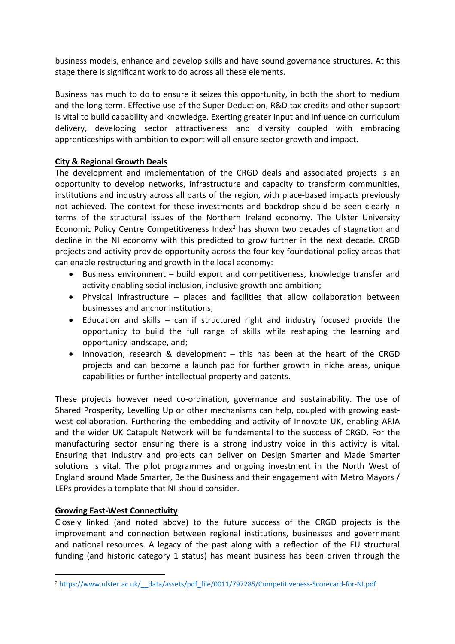business models, enhance and develop skills and have sound governance structures. At this stage there is significant work to do across all these elements.

Business has much to do to ensure it seizes this opportunity, in both the short to medium and the long term. Effective use of the Super Deduction, R&D tax credits and other support is vital to build capability and knowledge. Exerting greater input and influence on curriculum delivery, developing sector attractiveness and diversity coupled with embracing apprenticeships with ambition to export will all ensure sector growth and impact.

### **City & Regional Growth Deals**

The development and implementation of the CRGD deals and associated projects is an opportunity to develop networks, infrastructure and capacity to transform communities, institutions and industry across all parts of the region, with place-based impacts previously not achieved. The context for these investments and backdrop should be seen clearly in terms of the structural issues of the Northern Ireland economy. The Ulster University Economic Policy Centre Competitiveness Index<sup>2</sup> has shown two decades of stagnation and decline in the NI economy with this predicted to grow further in the next decade. CRGD projects and activity provide opportunity across the four key foundational policy areas that can enable restructuring and growth in the local economy:

- Business environment build export and competitiveness, knowledge transfer and activity enabling social inclusion, inclusive growth and ambition;
- Physical infrastructure places and facilities that allow collaboration between businesses and anchor institutions;
- Education and skills can if structured right and industry focused provide the opportunity to build the full range of skills while reshaping the learning and opportunity landscape, and;
- Innovation, research & development this has been at the heart of the CRGD projects and can become a launch pad for further growth in niche areas, unique capabilities or further intellectual property and patents.

These projects however need co-ordination, governance and sustainability. The use of Shared Prosperity, Levelling Up or other mechanisms can help, coupled with growing eastwest collaboration. Furthering the embedding and activity of Innovate UK, enabling ARIA and the wider UK Catapult Network will be fundamental to the success of CRGD. For the manufacturing sector ensuring there is a strong industry voice in this activity is vital. Ensuring that industry and projects can deliver on Design Smarter and Made Smarter solutions is vital. The pilot programmes and ongoing investment in the North West of England around Made Smarter, Be the Business and their engagement with Metro Mayors / LEPs provides a template that NI should consider.

#### **Growing East-West Connectivity**

Closely linked (and noted above) to the future success of the CRGD projects is the improvement and connection between regional institutions, businesses and government and national resources. A legacy of the past along with a reflection of the EU structural funding (and historic category 1 status) has meant business has been driven through the

<sup>&</sup>lt;sup>2</sup> https://www.ulster.ac.uk/ data/assets/pdf\_file/0011/797285/Competitiveness-Scorecard-for-NI.pdf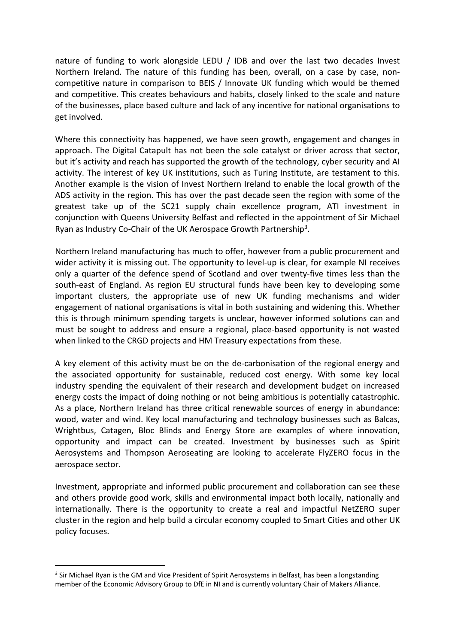nature of funding to work alongside LEDU / IDB and over the last two decades Invest Northern Ireland. The nature of this funding has been, overall, on a case by case, noncompetitive nature in comparison to BEIS / Innovate UK funding which would be themed and competitive. This creates behaviours and habits, closely linked to the scale and nature of the businesses, place based culture and lack of any incentive for national organisations to get involved.

Where this connectivity has happened, we have seen growth, engagement and changes in approach. The Digital Catapult has not been the sole catalyst or driver across that sector, but it's activity and reach has supported the growth of the technology, cyber security and AI activity. The interest of key UK institutions, such as Turing Institute, are testament to this. Another example is the vision of Invest Northern Ireland to enable the local growth of the ADS activity in the region. This has over the past decade seen the region with some of the greatest take up of the SC21 supply chain excellence program, ATI investment in conjunction with Queens University Belfast and reflected in the appointment of Sir Michael Ryan as Industry Co-Chair of the UK Aerospace Growth Partnership<sup>3</sup>.

Northern Ireland manufacturing has much to offer, however from a public procurement and wider activity it is missing out. The opportunity to level-up is clear, for example NI receives only a quarter of the defence spend of Scotland and over twenty-five times less than the south-east of England. As region EU structural funds have been key to developing some important clusters, the appropriate use of new UK funding mechanisms and wider engagement of national organisations is vital in both sustaining and widening this. Whether this is through minimum spending targets is unclear, however informed solutions can and must be sought to address and ensure a regional, place-based opportunity is not wasted when linked to the CRGD projects and HM Treasury expectations from these.

A key element of this activity must be on the de-carbonisation of the regional energy and the associated opportunity for sustainable, reduced cost energy. With some key local industry spending the equivalent of their research and development budget on increased energy costs the impact of doing nothing or not being ambitious is potentially catastrophic. As a place, Northern Ireland has three critical renewable sources of energy in abundance: wood, water and wind. Key local manufacturing and technology businesses such as Balcas, Wrightbus, Catagen, Bloc Blinds and Energy Store are examples of where innovation, opportunity and impact can be created. Investment by businesses such as Spirit Aerosystems and Thompson Aeroseating are looking to accelerate FlyZERO focus in the aerospace sector.

Investment, appropriate and informed public procurement and collaboration can see these and others provide good work, skills and environmental impact both locally, nationally and internationally. There is the opportunity to create a real and impactful NetZERO super cluster in the region and help build a circular economy coupled to Smart Cities and other UK policy focuses.

<sup>&</sup>lt;sup>3</sup> Sir Michael Ryan is the GM and Vice President of Spirit Aerosystems in Belfast, has been a longstanding member of the Economic Advisory Group to DfE in NI and is currently voluntary Chair of Makers Alliance.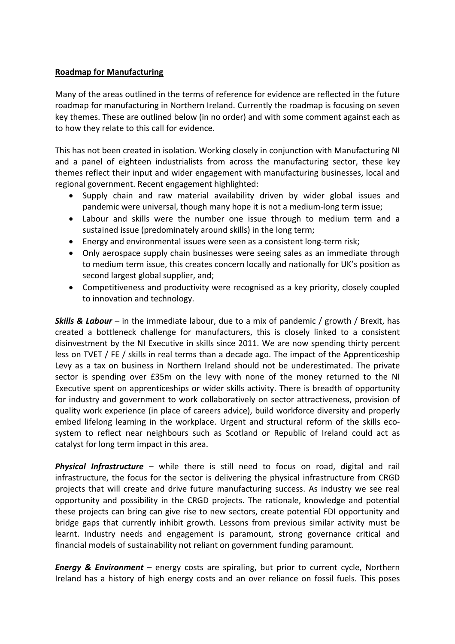#### **Roadmap for Manufacturing**

Many of the areas outlined in the terms of reference for evidence are reflected in the future roadmap for manufacturing in Northern Ireland. Currently the roadmap is focusing on seven key themes. These are outlined below (in no order) and with some comment against each as to how they relate to this call for evidence.

This has not been created in isolation. Working closely in conjunction with Manufacturing NI and a panel of eighteen industrialists from across the manufacturing sector, these key themes reflect their input and wider engagement with manufacturing businesses, local and regional government. Recent engagement highlighted:

- Supply chain and raw material availability driven by wider global issues and pandemic were universal, though many hope it is not a medium-long term issue;
- Labour and skills were the number one issue through to medium term and a sustained issue (predominately around skills) in the long term;
- Energy and environmental issues were seen as a consistent long-term risk;
- Only aerospace supply chain businesses were seeing sales as an immediate through to medium term issue, this creates concern locally and nationally for UK's position as second largest global supplier, and;
- Competitiveness and productivity were recognised as a key priority, closely coupled to innovation and technology.

*Skills & Labour* – in the immediate labour, due to a mix of pandemic / growth / Brexit, has created a bottleneck challenge for manufacturers, this is closely linked to a consistent disinvestment by the NI Executive in skills since 2011. We are now spending thirty percent less on TVET / FE / skills in real terms than a decade ago. The impact of the Apprenticeship Levy as a tax on business in Northern Ireland should not be underestimated. The private sector is spending over £35m on the levy with none of the money returned to the NI Executive spent on apprenticeships or wider skills activity. There is breadth of opportunity for industry and government to work collaboratively on sector attractiveness, provision of quality work experience (in place of careers advice), build workforce diversity and properly embed lifelong learning in the workplace. Urgent and structural reform of the skills ecosystem to reflect near neighbours such as Scotland or Republic of Ireland could act as catalyst for long term impact in this area.

*Physical Infrastructure* – while there is still need to focus on road, digital and rail infrastructure, the focus for the sector is delivering the physical infrastructure from CRGD projects that will create and drive future manufacturing success. As industry we see real opportunity and possibility in the CRGD projects. The rationale, knowledge and potential these projects can bring can give rise to new sectors, create potential FDI opportunity and bridge gaps that currently inhibit growth. Lessons from previous similar activity must be learnt. Industry needs and engagement is paramount, strong governance critical and financial models of sustainability not reliant on government funding paramount.

*Energy & Environment* – energy costs are spiraling, but prior to current cycle, Northern Ireland has a history of high energy costs and an over reliance on fossil fuels. This poses